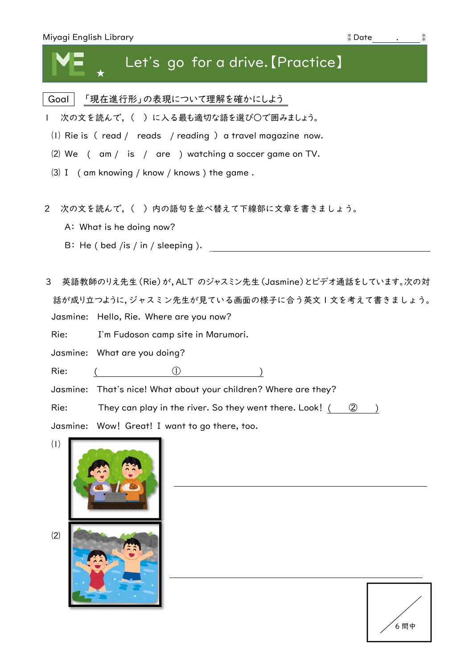| Miyagi English Library                                               | $*$ Date |
|----------------------------------------------------------------------|----------|
| Let's go for a drive. [Practice]                                     |          |
| Goal<br>「現在進行形」の表現について理解を確かにしよう                                      |          |
| 次の文を読んで、()に入る最も適切な語を選び○で囲みましょう。<br>$\mathbf{L}$                      |          |
| (I) Rie is $($ read $/$ reads $/$ reading $)$ a travel magazine now. |          |
| $(2)$ We $($ am $/$ is $/$ are $)$ watching a soccer game on TV.     |          |
| $(3)$ I (am knowing / know / knows) the game.                        |          |
|                                                                      |          |
| 次の文を読んで,( )内の語句を並べ替えて下線部に文章を書きましょう。<br>$\overline{2}$                |          |
| A: What is he doing now?                                             |          |
| B: He ( bed /is / in / sleeping ).                                   |          |
| 英語教師のりえ先生(Rie)が,ALT のジャスミン先生(Jasmine)とビデオ通話をしています。次の対<br>3           |          |
| 話が成り立つように,ジャスミン先生が見ている画面の様子に合う英文Ⅰ文を考えて書きましょう。                        |          |
| Jasmine: Hello, Rie. Where are you now?                              |          |
| Rie:<br>I'm Fudoson camp site in Marumori.                           |          |
| Jasmine: What are you doing?                                         |          |
| Rie:                                                                 |          |
| That's nice! What about your children? Where are they?<br>Jasmine:   |          |
| Rie:<br>They can play in the river. So they went there. Look! (      | (2)      |
| Jasmine:<br>Wow! Great! I want to go there, too.                     |          |
| (1)                                                                  |          |

⑵

*(*<br>6問中